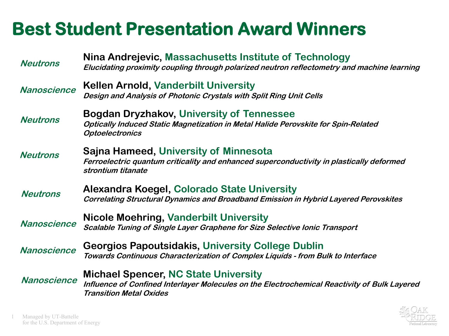## **Best Student Presentation Award Winners**

| <b>Neutrons</b>    | Nina Andrejevic, Massachusetts Institute of Technology<br>Elucidating proximity coupling through polarized neutron reflectometry and machine learning                         |
|--------------------|-------------------------------------------------------------------------------------------------------------------------------------------------------------------------------|
| <b>Nanoscience</b> | <b>Kellen Arnold, Vanderbilt University</b><br>Design and Analysis of Photonic Crystals with Split Ring Unit Cells                                                            |
| <b>Neutrons</b>    | <b>Bogdan Dryzhakov, University of Tennessee</b><br>Optically Induced Static Magnetization in Metal Halide Perovskite for Spin-Related<br><b>Optoelectronics</b>              |
| <b>Neutrons</b>    | Sajna Hameed, University of Minnesota<br>Ferroelectric quantum criticality and enhanced superconductivity in plastically deformed<br>strontium titanate                       |
| <b>Neutrons</b>    | Alexandra Koegel, Colorado State University<br><b>Correlating Structural Dynamics and Broadband Emission in Hybrid Layered Perovskites</b>                                    |
| <b>Nanoscience</b> | <b>Nicole Moehring, Vanderbilt University</b><br>Scalable Tuning of Single Layer Graphene for Size Selective Ionic Transport                                                  |
| <b>Nanoscience</b> | <b>Georgios Papoutsidakis, University College Dublin</b><br>Towards Continuous Characterization of Complex Liquids - from Bulk to Interface                                   |
| <b>Nanoscience</b> | <b>Michael Spencer, NC State University</b><br>Influence of Confined Interlayer Molecules on the Electrochemical Reactivity of Bulk Layered<br><b>Transition Metal Oxides</b> |

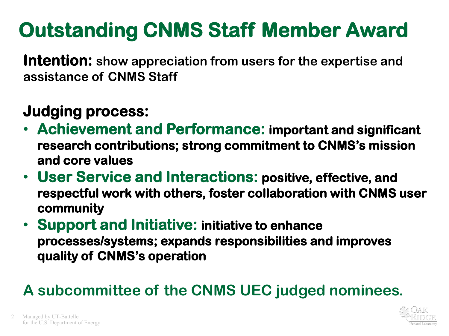# **Outstanding CNMS Staff Member Award**

**Intention: show appreciation from users for the expertise and assistance of CNMS Staff**

## **Judging process:**

- **Achievement and Performance: important and significant research contributions; strong commitment to CNMS's mission and core values**
- **User Service and Interactions: positive, effective, and respectful work with others, foster collaboration with CNMS user community**
- **Support and Initiative: initiative to enhance processes/systems; expands responsibilities and improves quality of CNMS's operation**

## **A subcommittee of the CNMS UEC judged nominees.**

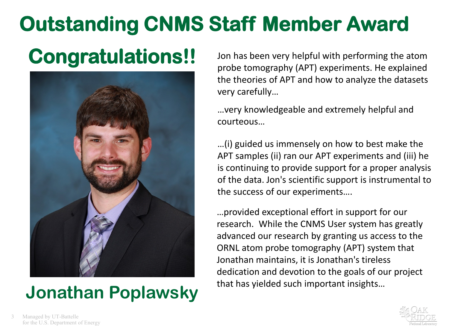# **Outstanding CNMS Staff Member Award**



## **Jonathan Poplawsky**

**Congratulations!!** Jon has been very helpful with performing the atom probe tomography (APT) experiments. He explained the theories of APT and how to analyze the datasets very carefully…

> …very knowledgeable and extremely helpful and courteous…

…(i) guided us immensely on how to best make the APT samples (ii) ran our APT experiments and (iii) he is continuing to provide support for a proper analysis of the data. Jon's scientific support is instrumental to the success of our experiments….

…provided exceptional effort in support for our research. While the CNMS User system has greatly advanced our research by granting us access to the ORNL atom probe tomography (APT) system that Jonathan maintains, it is Jonathan's tireless dedication and devotion to the goals of our project that has yielded such important insights…

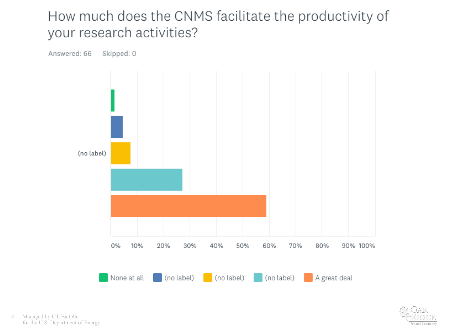### How much does the CNMS facilitate the productivity of your research activities?

Answered: 66 Skipped: 0 (no label) 0% 40% 50% 70% 80% 10% 20% 30% 60% 90% 100% (no label) (no label) (no label) None at all A great deal

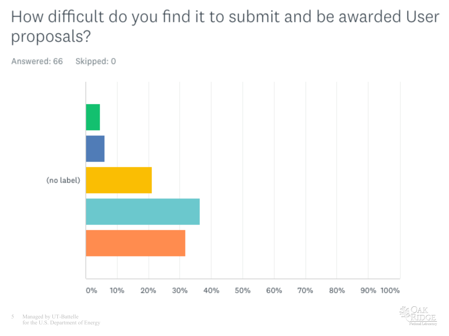## How difficult do you find it to submit and be awarded User proposals?



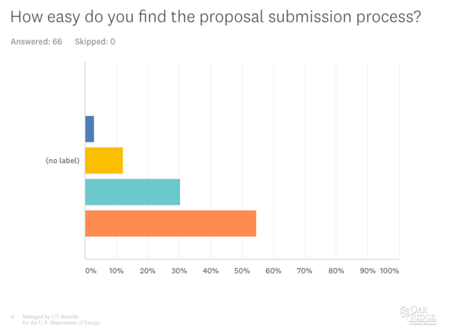## How easy do you find the proposal submission process?

Answered: 66 Skipped: 0



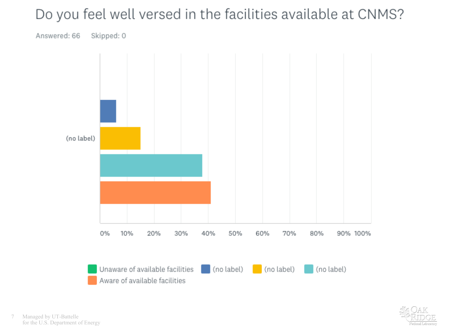## Do you feel well versed in the facilities available at CNMS?

Answered: 66 Skipped: 0



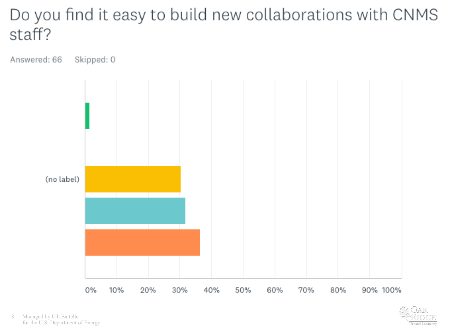## Do you find it easy to build new collaborations with CNMS staff?





8 Managed by UT-Battelle for the U.S. Department of Energy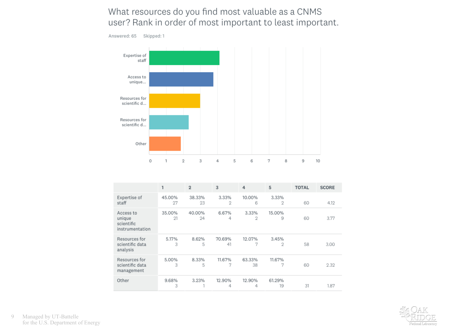#### What resources do you find most valuable as a CNMS user? Rank in order of most important to least important.

Answered: 65 Skipped: 1

Expertise of staff Access to unique... Resources for scientific d... Resources for scientific d... Other  $10$  $\circ$  $\mathbf{1}$  $\,2\,$ 3  $\overline{4}$ 5 6  $7\phantom{.0}$ 8 9

|                                                      | 1            | $\overline{2}$ | 3            | 4            | 5            | <b>TOTAL</b> | <b>SCORE</b> |
|------------------------------------------------------|--------------|----------------|--------------|--------------|--------------|--------------|--------------|
| Expertise of<br>staff                                | 45.00%<br>27 | 38.33%<br>23   | 3.33%<br>2   | 10.00%<br>6  | 3.33%<br>2   | 60           | 4.12         |
| Access to<br>unique<br>scientific<br>instrumentation | 35.00%<br>21 | 40.00%<br>24   | 6.67%<br>4   | 3.33%<br>2   | 15.00%<br>9  | 60           | 3.77         |
| Resources for<br>scientific data<br>analysis         | 5.17%<br>3   | 8.62%<br>5     | 70.69%<br>41 | 12.07%<br>7  | 3.45%<br>2   | 58           | 3.00         |
| Resources for<br>scientific data<br>management       | 5.00%<br>3   | 8.33%<br>5     | 11.67%       | 63.33%<br>38 | 11.67%<br>7  | 60           | 2.32         |
| Other                                                | 9.68%<br>3   | 3.23%          | 12.90%<br>4  | 12.90%<br>4  | 61.29%<br>19 | 31           | 1.87         |